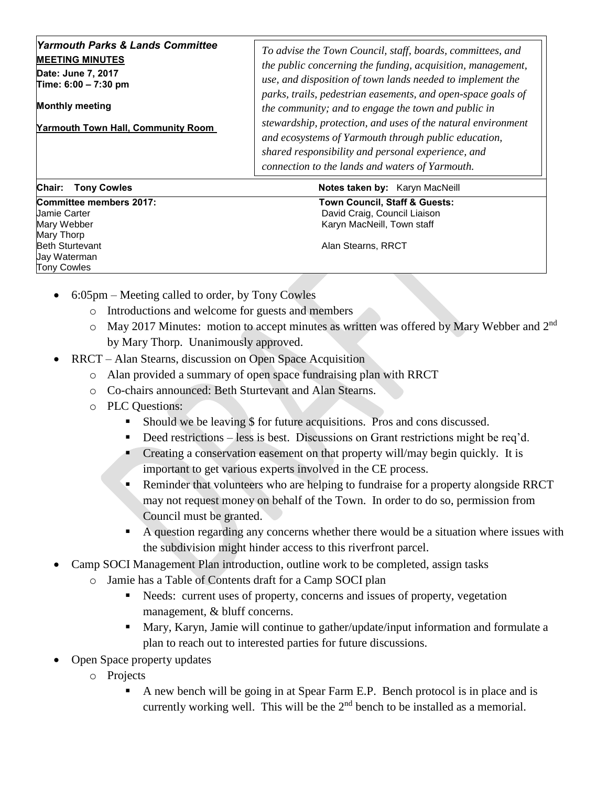| Yarmouth Parks & Lands Committee<br><b>MEETING MINUTES</b><br>Date: June 7, 2017<br>Time: $6:00 - 7:30$ pm<br><b>Monthly meeting</b><br><b>Yarmouth Town Hall, Community Room</b> | To advise the Town Council, staff, boards, committees, and<br>the public concerning the funding, acquisition, management,<br>use, and disposition of town lands needed to implement the<br>parks, trails, pedestrian easements, and open-space goals of<br>the community; and to engage the town and public in<br>stewardship, protection, and uses of the natural environment<br>and ecosystems of Yarmouth through public education,<br>shared responsibility and personal experience, and<br>connection to the lands and waters of Yarmouth. |
|-----------------------------------------------------------------------------------------------------------------------------------------------------------------------------------|-------------------------------------------------------------------------------------------------------------------------------------------------------------------------------------------------------------------------------------------------------------------------------------------------------------------------------------------------------------------------------------------------------------------------------------------------------------------------------------------------------------------------------------------------|
| Chair:<br><b>Tony Cowles</b>                                                                                                                                                      | <b>Notes taken by: Karyn MacNeill</b>                                                                                                                                                                                                                                                                                                                                                                                                                                                                                                           |

Mary Thorp **Beth Sturtevant** Alan Stearns, RRCT Jay Waterman Tony Cowles

**Committee members 2017: Town Council, Staff & Guests:**  Jamie Carter David Craig, Council Liaison Karyn MacNeill, Town staff

- 6:05pm Meeting called to order, by Tony Cowles
	- o Introductions and welcome for guests and members
	- o May 2017 Minutes: motion to accept minutes as written was offered by Mary Webber and 2nd by Mary Thorp. Unanimously approved.
- RRCT Alan Stearns, discussion on Open Space Acquisition
	- o Alan provided a summary of open space fundraising plan with RRCT
	- o Co-chairs announced: Beth Sturtevant and Alan Stearns.
	- o PLC Questions:
		- Should we be leaving \$ for future acquisitions. Pros and cons discussed.
		- Deed restrictions less is best. Discussions on Grant restrictions might be req'd.
		- Creating a conservation easement on that property will/may begin quickly. It is important to get various experts involved in the CE process.
		- Reminder that volunteers who are helping to fundraise for a property alongside RRCT may not request money on behalf of the Town. In order to do so, permission from Council must be granted.
		- A question regarding any concerns whether there would be a situation where issues with the subdivision might hinder access to this riverfront parcel.
- Camp SOCI Management Plan introduction, outline work to be completed, assign tasks
	- o Jamie has a Table of Contents draft for a Camp SOCI plan
		- Needs: current uses of property, concerns and issues of property, vegetation management, & bluff concerns.
		- Mary, Karyn, Jamie will continue to gather/update/input information and formulate a plan to reach out to interested parties for future discussions.
- Open Space property updates
	- o Projects
		- A new bench will be going in at Spear Farm E.P. Bench protocol is in place and is currently working well. This will be the  $2<sup>nd</sup>$  bench to be installed as a memorial.